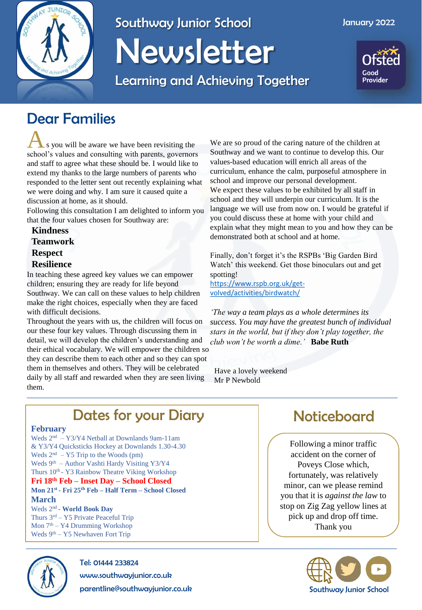

# Southway Junior School Newsletter

Learning and Achieving Together



### Dear Families

A s you will be aware we have been revisiting the school's values and consulting with parents, governors and staff to agree what these should be. I would like to extend my thanks to the large numbers of parents who responded to the letter sent out recently explaining what we were doing and why. I am sure it caused quite a discussion at home, as it should.

Following this consultation I am delighted to inform you that the four values chosen for Southway are:

**Kindness Teamwork Respect Resilience** In teaching these agreed key values we can empower

children; ensuring they are ready for life beyond Southway. We can call on these values to help children make the right choices, especially when they are faced with difficult decisions.

Throughout the years with us, the children will focus on our these four key values. Through discussing them in detail, we will develop the children's understanding and their ethical vocabulary. We will empower the children so they can describe them to each other and so they can spot them in themselves and others. They will be celebrated daily by all staff and rewarded when they are seen living them.

We are so proud of the caring nature of the children at Southway and we want to continue to develop this. Our values-based education will enrich all areas of the curriculum, enhance the calm, purposeful atmosphere in school and improve our personal development. We expect these values to be exhibited by all staff in school and they will underpin our curriculum. It is the language we will use from now on. I would be grateful if you could discuss these at home with your child and explain what they might mean to you and how they can be demonstrated both at school and at home.

Finally, don't forget it's the RSPBs 'Big Garden Bird Watch' this weekend. Get those binoculars out and get spotting! [https://www.rspb.org.uk/get-](https://www.rspb.org.uk/get-volved/activities/birdwatch/)

volved/activities/birdwatch/

*'The way a team plays as a whole determines its success. You may have the greatest bunch of individual stars in the world, but if they don't play together, the club won't be worth a dime.'* **Babe Ruth**

Have a lovely weekend Mr P Newbold

## Dates for your Diary **Noticeboard**

#### **February**

Weds 2nd – Y3/Y4 Netball at Downlands 9am-11am & Y3/Y4 Quicksticks Hockey at Downlands 1.30-4.30 Weds  $2<sup>nd</sup> - Y5$  Trip to the Woods (pm) Weds 9<sup>th</sup> – Author Vashti Hardy Visiting Y3/Y4 Thurs 10<sup>th</sup> - Y3 Rainbow Theatre Viking Workshop **Fri 18th Feb – Inset Day – School Closed Mon 21st - Fri 25th Feb – Half Term – School Closed March**  Weds 2nd - **World Book Day** Thurs 3rd – Y5 Private Peaceful Trip

Mon 7th – Y4 Drumming Workshop Weds  $9<sup>th</sup> - Y5$  Newhaven Fort Trip



Tel: 01444 233824

www.southwayjunior.co.uk

parentline@southwayjunior.co.uk

Following a minor traffic accident on the corner of Poveys Close which, fortunately, was relatively minor, can we please remind you that it is *against the law* to stop on Zig Zag yellow lines at pick up and drop off time. Thank you